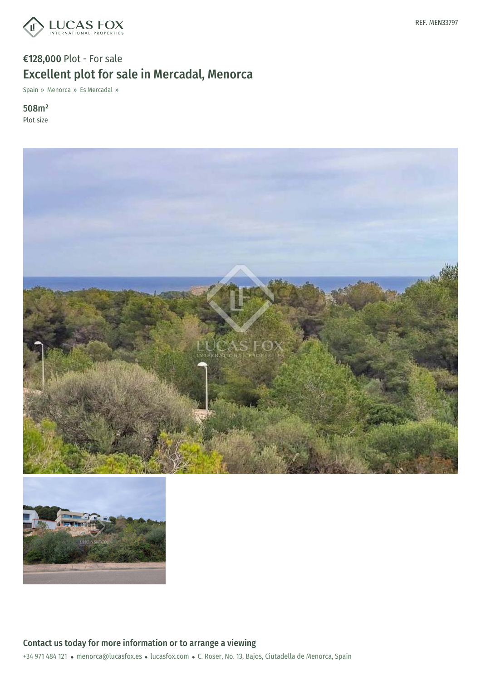

## €128,000 Plot - For sale Excellent plot for sale in Mercadal, Menorca

Spain » Menorca » Es Mercadal »

508m² Plot size